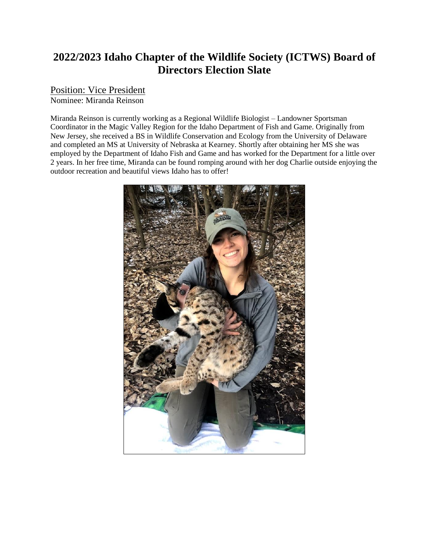## **2022/2023 Idaho Chapter of the Wildlife Society (ICTWS) Board of Directors Election Slate**

## Position: Vice President

Nominee: Miranda Reinson

Miranda Reinson is currently working as a Regional Wildlife Biologist – Landowner Sportsman Coordinator in the Magic Valley Region for the Idaho Department of Fish and Game. Originally from New Jersey, she received a BS in Wildlife Conservation and Ecology from the University of Delaware and completed an MS at University of Nebraska at Kearney. Shortly after obtaining her MS she was employed by the Department of Idaho Fish and Game and has worked for the Department for a little over 2 years. In her free time, Miranda can be found romping around with her dog Charlie outside enjoying the outdoor recreation and beautiful views Idaho has to offer!

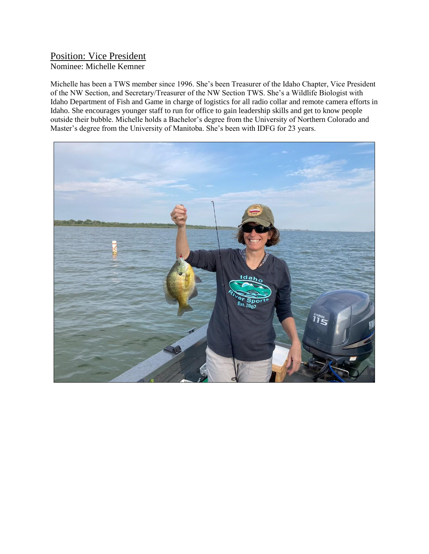## Position: Vice President Nominee: Michelle Kemner

Michelle has been a TWS member since 1996. She's been Treasurer of the Idaho Chapter, Vice President of the NW Section, and Secretary/Treasurer of the NW Section TWS. She's a Wildlife Biologist with Idaho Department of Fish and Game in charge of logistics for all radio collar and remote camera efforts in Idaho. She encourages younger staff to run for office to gain leadership skills and get to know people outside their bubble. Michelle holds a Bachelor's degree from the University of Northern Colorado and Master's degree from the University of Manitoba. She's been with IDFG for 23 years.